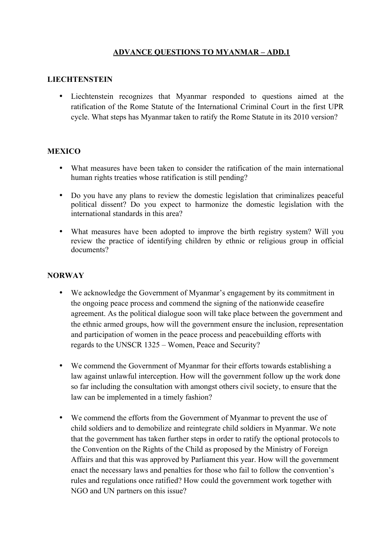# **ADVANCE QUESTIONS TO MYANMAR – ADD.1**

### **LIECHTENSTEIN**

• Liechtenstein recognizes that Myanmar responded to questions aimed at the ratification of the Rome Statute of the International Criminal Court in the first UPR cycle. What steps has Myanmar taken to ratify the Rome Statute in its 2010 version?

### **MEXICO**

- What measures have been taken to consider the ratification of the main international human rights treaties whose ratification is still pending?
- Do you have any plans to review the domestic legislation that criminalizes peaceful political dissent? Do you expect to harmonize the domestic legislation with the international standards in this area?
- What measures have been adopted to improve the birth registry system? Will you review the practice of identifying children by ethnic or religious group in official documents?

#### **NORWAY**

- We acknowledge the Government of Myanmar's engagement by its commitment in the ongoing peace process and commend the signing of the nationwide ceasefire agreement. As the political dialogue soon will take place between the government and the ethnic armed groups, how will the government ensure the inclusion, representation and participation of women in the peace process and peacebuilding efforts with regards to the UNSCR 1325 – Women, Peace and Security?
- We commend the Government of Myanmar for their efforts towards establishing a law against unlawful interception. How will the government follow up the work done so far including the consultation with amongst others civil society, to ensure that the law can be implemented in a timely fashion?
- We commend the efforts from the Government of Myanmar to prevent the use of child soldiers and to demobilize and reintegrate child soldiers in Myanmar. We note that the government has taken further steps in order to ratify the optional protocols to the Convention on the Rights of the Child as proposed by the Ministry of Foreign Affairs and that this was approved by Parliament this year. How will the government enact the necessary laws and penalties for those who fail to follow the convention's rules and regulations once ratified? How could the government work together with NGO and UN partners on this issue?